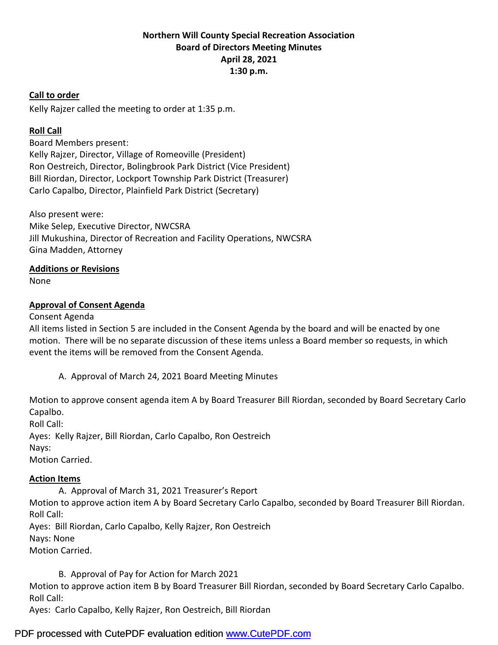# **Northern Will County Special Recreation Association Board of Directors Meeting Minutes April 28, 2021 1:30 p.m.**

#### **Call to order**

Kelly Rajzer called the meeting to order at 1:35 p.m.

### **Roll Call**

Board Members present: Kelly Rajzer, Director, Village of Romeoville (President) Ron Oestreich, Director, Bolingbrook Park District (Vice President) Bill Riordan, Director, Lockport Township Park District (Treasurer) Carlo Capalbo, Director, Plainfield Park District (Secretary)

Also present were: Mike Selep, Executive Director, NWCSRA Jill Mukushina, Director of Recreation and Facility Operations, NWCSRA Gina Madden, Attorney

### **Additions or Revisions**

None

### **Approval of Consent Agenda**

#### Consent Agenda

All items listed in Section 5 are included in the Consent Agenda by the board and will be enacted by one motion. There will be no separate discussion of these items unless a Board member so requests, in which event the items will be removed from the Consent Agenda.

A. Approval of March 24, 2021 Board Meeting Minutes

Motion to approve consent agenda item A by Board Treasurer Bill Riordan, seconded by Board Secretary Carlo Capalbo. Roll Call:

Ayes: Kelly Rajzer, Bill Riordan, Carlo Capalbo, Ron Oestreich Nays: Motion Carried.

#### **Action Items**

A. Approval of March 31, 2021 Treasurer's Report

Motion to approve action item A by Board Secretary Carlo Capalbo, seconded by Board Treasurer Bill Riordan. Roll Call:

Ayes: Bill Riordan, Carlo Capalbo, Kelly Rajzer, Ron Oestreich Nays: None Motion Carried.

B. Approval of Pay for Action for March 2021

Motion to approve action item B by Board Treasurer Bill Riordan, seconded by Board Secretary Carlo Capalbo. Roll Call:

Ayes: Carlo Capalbo, Kelly Rajzer, Ron Oestreich, Bill Riordan

# PDF processed with CutePDF evaluation edition [www.CutePDF.com](http://www.cutepdf.com)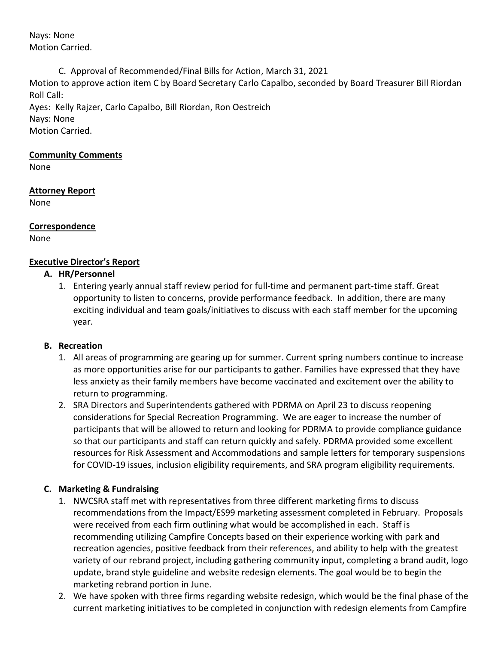Nays: None Motion Carried.

C. Approval of Recommended/Final Bills for Action, March 31, 2021

Motion to approve action item C by Board Secretary Carlo Capalbo, seconded by Board Treasurer Bill Riordan Roll Call:

Ayes: Kelly Rajzer, Carlo Capalbo, Bill Riordan, Ron Oestreich Nays: None Motion Carried.

#### **Community Comments**

None

# **Attorney Report**

None

**Correspondence** None

# **Executive Director's Report**

### **A. HR/Personnel**

1. Entering yearly annual staff review period for full-time and permanent part-time staff. Great opportunity to listen to concerns, provide performance feedback. In addition, there are many exciting individual and team goals/initiatives to discuss with each staff member for the upcoming year.

# **B. Recreation**

- 1. All areas of programming are gearing up for summer. Current spring numbers continue to increase as more opportunities arise for our participants to gather. Families have expressed that they have less anxiety as their family members have become vaccinated and excitement over the ability to return to programming.
- 2. SRA Directors and Superintendents gathered with PDRMA on April 23 to discuss reopening considerations for Special Recreation Programming. We are eager to increase the number of participants that will be allowed to return and looking for PDRMA to provide compliance guidance so that our participants and staff can return quickly and safely. PDRMA provided some excellent resources for Risk Assessment and Accommodations and sample letters for temporary suspensions for COVID-19 issues, inclusion eligibility requirements, and SRA program eligibility requirements.

# **C. Marketing & Fundraising**

- 1. NWCSRA staff met with representatives from three different marketing firms to discuss recommendations from the Impact/ES99 marketing assessment completed in February. Proposals were received from each firm outlining what would be accomplished in each. Staff is recommending utilizing Campfire Concepts based on their experience working with park and recreation agencies, positive feedback from their references, and ability to help with the greatest variety of our rebrand project, including gathering community input, completing a brand audit, logo update, brand style guideline and website redesign elements. The goal would be to begin the marketing rebrand portion in June.
- 2. We have spoken with three firms regarding website redesign, which would be the final phase of the current marketing initiatives to be completed in conjunction with redesign elements from Campfire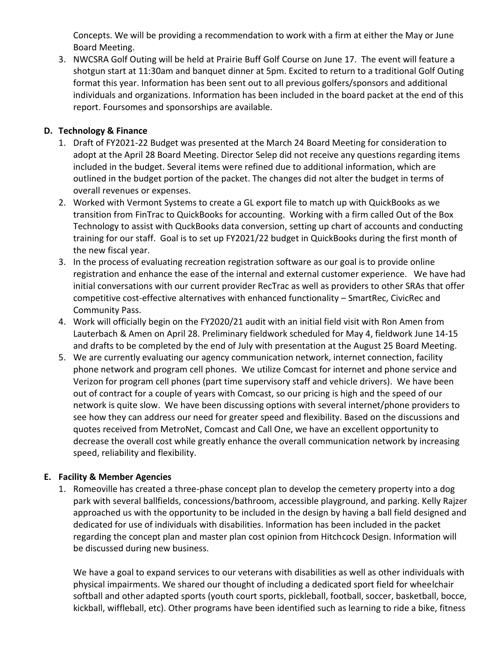Concepts. We will be providing a recommendation to work with a firm at either the May or June Board Meeting.

3. NWCSRA Golf Outing will be held at Prairie Buff Golf Course on June 17. The event will feature a shotgun start at 11:30am and banquet dinner at 5pm. Excited to return to a traditional Golf Outing format this year. Information has been sent out to all previous golfers/sponsors and additional individuals and organizations. Information has been included in the board packet at the end of this report. Foursomes and sponsorships are available.

# **D. Technology & Finance**

- 1. Draft of FY2021-22 Budget was presented at the March 24 Board Meeting for consideration to adopt at the April 28 Board Meeting. Director Selep did not receive any questions regarding items included in the budget. Several items were refined due to additional information, which are outlined in the budget portion of the packet. The changes did not alter the budget in terms of overall revenues or expenses.
- 2. Worked with Vermont Systems to create a GL export file to match up with QuickBooks as we transition from FinTrac to QuickBooks for accounting. Working with a firm called Out of the Box Technology to assist with QuckBooks data conversion, setting up chart of accounts and conducting training for our staff. Goal is to set up FY2021/22 budget in QuickBooks during the first month of the new fiscal year.
- 3. In the process of evaluating recreation registration software as our goal is to provide online registration and enhance the ease of the internal and external customer experience. We have had initial conversations with our current provider RecTrac as well as providers to other SRAs that offer competitive cost-effective alternatives with enhanced functionality – SmartRec, CivicRec and Community Pass.
- 4. Work will officially begin on the FY2020/21 audit with an initial field visit with Ron Amen from Lauterbach & Amen on April 28. Preliminary fieldwork scheduled for May 4, fieldwork June 14-15 and drafts to be completed by the end of July with presentation at the August 25 Board Meeting.
- 5. We are currently evaluating our agency communication network, internet connection, facility phone network and program cell phones. We utilize Comcast for internet and phone service and Verizon for program cell phones (part time supervisory staff and vehicle drivers). We have been out of contract for a couple of years with Comcast, so our pricing is high and the speed of our network is quite slow. We have been discussing options with several internet/phone providers to see how they can address our need for greater speed and flexibility. Based on the discussions and quotes received from MetroNet, Comcast and Call One, we have an excellent opportunity to decrease the overall cost while greatly enhance the overall communication network by increasing speed, reliability and flexibility.

#### **E. Facility & Member Agencies**

1. Romeoville has created a three-phase concept plan to develop the cemetery property into a dog park with several ballfields, concessions/bathroom, accessible playground, and parking. Kelly Rajzer approached us with the opportunity to be included in the design by having a ball field designed and dedicated for use of individuals with disabilities. Information has been included in the packet regarding the concept plan and master plan cost opinion from Hitchcock Design. Information will be discussed during new business.

We have a goal to expand services to our veterans with disabilities as well as other individuals with physical impairments. We shared our thought of including a dedicated sport field for wheelchair softball and other adapted sports (youth court sports, pickleball, football, soccer, basketball, bocce, kickball, wiffleball, etc). Other programs have been identified such as learning to ride a bike, fitness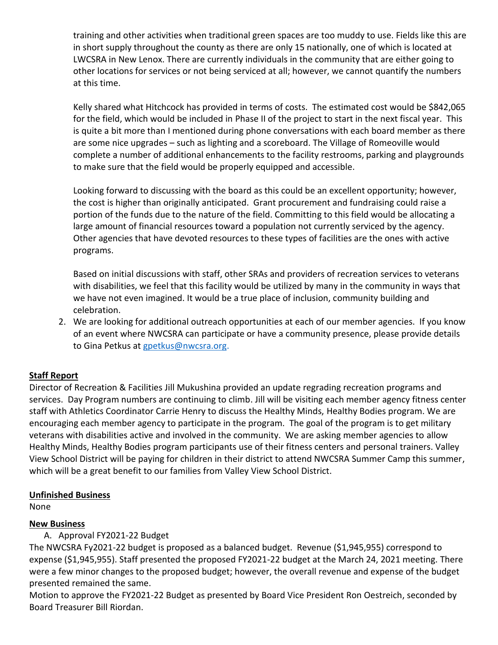training and other activities when traditional green spaces are too muddy to use. Fields like this are in short supply throughout the county as there are only 15 nationally, one of which is located at LWCSRA in New Lenox. There are currently individuals in the community that are either going to other locations for services or not being serviced at all; however, we cannot quantify the numbers at this time.

Kelly shared what Hitchcock has provided in terms of costs. The estimated cost would be \$842,065 for the field, which would be included in Phase II of the project to start in the next fiscal year. This is quite a bit more than I mentioned during phone conversations with each board member as there are some nice upgrades – such as lighting and a scoreboard. The Village of Romeoville would complete a number of additional enhancements to the facility restrooms, parking and playgrounds to make sure that the field would be properly equipped and accessible.

Looking forward to discussing with the board as this could be an excellent opportunity; however, the cost is higher than originally anticipated. Grant procurement and fundraising could raise a portion of the funds due to the nature of the field. Committing to this field would be allocating a large amount of financial resources toward a population not currently serviced by the agency. Other agencies that have devoted resources to these types of facilities are the ones with active programs.

Based on initial discussions with staff, other SRAs and providers of recreation services to veterans with disabilities, we feel that this facility would be utilized by many in the community in ways that we have not even imagined. It would be a true place of inclusion, community building and celebration.

2. We are looking for additional outreach opportunities at each of our member agencies. If you know of an event where NWCSRA can participate or have a community presence, please provide details to Gina Petkus at [gpetkus@nwcsra.org.](mailto:gpetkus@nwcsra.org)

# **Staff Report**

Director of Recreation & Facilities Jill Mukushina provided an update regrading recreation programs and services. Day Program numbers are continuing to climb. Jill will be visiting each member agency fitness center staff with Athletics Coordinator Carrie Henry to discuss the Healthy Minds, Healthy Bodies program. We are encouraging each member agency to participate in the program. The goal of the program is to get military veterans with disabilities active and involved in the community. We are asking member agencies to allow Healthy Minds, Healthy Bodies program participants use of their fitness centers and personal trainers. Valley View School District will be paying for children in their district to attend NWCSRA Summer Camp this summer, which will be a great benefit to our families from Valley View School District.

# **Unfinished Business**

None

# **New Business**

A. Approval FY2021-22 Budget

The NWCSRA Fy2021-22 budget is proposed as a balanced budget. Revenue (\$1,945,955) correspond to expense (\$1,945,955). Staff presented the proposed FY2021-22 budget at the March 24, 2021 meeting. There were a few minor changes to the proposed budget; however, the overall revenue and expense of the budget presented remained the same.

Motion to approve the FY2021-22 Budget as presented by Board Vice President Ron Oestreich, seconded by Board Treasurer Bill Riordan.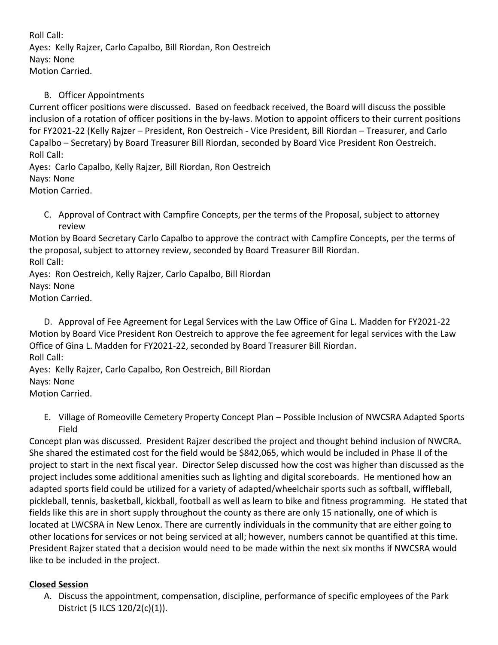Roll Call: Ayes: Kelly Rajzer, Carlo Capalbo, Bill Riordan, Ron Oestreich Nays: None Motion Carried.

# B. Officer Appointments

Current officer positions were discussed. Based on feedback received, the Board will discuss the possible inclusion of a rotation of officer positions in the by-laws. Motion to appoint officers to their current positions for FY2021-22 (Kelly Rajzer – President, Ron Oestreich - Vice President, Bill Riordan – Treasurer, and Carlo Capalbo – Secretary) by Board Treasurer Bill Riordan, seconded by Board Vice President Ron Oestreich. Roll Call:

Ayes: Carlo Capalbo, Kelly Rajzer, Bill Riordan, Ron Oestreich Nays: None Motion Carried.

C. Approval of Contract with Campfire Concepts, per the terms of the Proposal, subject to attorney review

Motion by Board Secretary Carlo Capalbo to approve the contract with Campfire Concepts, per the terms of the proposal, subject to attorney review, seconded by Board Treasurer Bill Riordan. Roll Call:

Ayes: Ron Oestreich, Kelly Rajzer, Carlo Capalbo, Bill Riordan Nays: None Motion Carried.

D. Approval of Fee Agreement for Legal Services with the Law Office of Gina L. Madden for FY2021-22 Motion by Board Vice President Ron Oestreich to approve the fee agreement for legal services with the Law Office of Gina L. Madden for FY2021-22, seconded by Board Treasurer Bill Riordan. Roll Call:

Ayes: Kelly Rajzer, Carlo Capalbo, Ron Oestreich, Bill Riordan Nays: None Motion Carried.

E. Village of Romeoville Cemetery Property Concept Plan – Possible Inclusion of NWCSRA Adapted Sports Field

Concept plan was discussed. President Rajzer described the project and thought behind inclusion of NWCRA. She shared the estimated cost for the field would be \$842,065, which would be included in Phase II of the project to start in the next fiscal year. Director Selep discussed how the cost was higher than discussed as the project includes some additional amenities such as lighting and digital scoreboards. He mentioned how an adapted sports field could be utilized for a variety of adapted/wheelchair sports such as softball, wiffleball, pickleball, tennis, basketball, kickball, football as well as learn to bike and fitness programming. He stated that fields like this are in short supply throughout the county as there are only 15 nationally, one of which is located at LWCSRA in New Lenox. There are currently individuals in the community that are either going to other locations for services or not being serviced at all; however, numbers cannot be quantified at this time. President Rajzer stated that a decision would need to be made within the next six months if NWCSRA would like to be included in the project.

# **Closed Session**

A. Discuss the appointment, compensation, discipline, performance of specific employees of the Park District (5 ILCS 120/2(c)(1)).